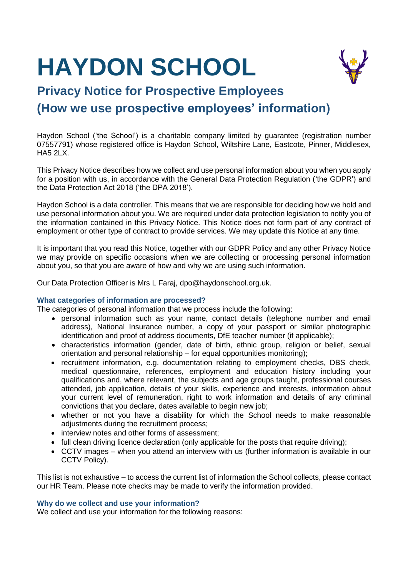# **HAYDON SCHOOL**



# **Privacy Notice for Prospective Employees (How we use prospective employees' information)**

Haydon School ('the School') is a charitable company limited by guarantee (registration number 07557791) whose registered office is Haydon School, Wiltshire Lane, Eastcote, Pinner, Middlesex, HA5 2LX.

This Privacy Notice describes how we collect and use personal information about you when you apply for a position with us, in accordance with the General Data Protection Regulation ('the GDPR') and the Data Protection Act 2018 ('the DPA 2018').

Haydon School is a data controller. This means that we are responsible for deciding how we hold and use personal information about you. We are required under data protection legislation to notify you of the information contained in this Privacy Notice. This Notice does not form part of any contract of employment or other type of contract to provide services. We may update this Notice at any time.

It is important that you read this Notice, together with our GDPR Policy and any other Privacy Notice we may provide on specific occasions when we are collecting or processing personal information about you, so that you are aware of how and why we are using such information.

Our Data Protection Officer is Mrs L Faraj, dpo@haydonschool.org.uk.

# **What categories of information are processed?**

The categories of personal information that we process include the following:

- personal information such as your name, contact details (telephone number and email address), National Insurance number, a copy of your passport or similar photographic identification and proof of address documents, DfE teacher number (if applicable);
- characteristics information (gender, date of birth, ethnic group, religion or belief, sexual orientation and personal relationship – for equal opportunities monitoring);
- recruitment information, e.g. documentation relating to employment checks, DBS check, medical questionnaire, references, employment and education history including your qualifications and, where relevant, the subjects and age groups taught, professional courses attended, job application, details of your skills, experience and interests, information about your current level of remuneration, right to work information and details of any criminal convictions that you declare, dates available to begin new job;
- whether or not you have a disability for which the School needs to make reasonable adjustments during the recruitment process;
- interview notes and other forms of assessment:
- full clean driving licence declaration (only applicable for the posts that require driving);
- CCTV images when you attend an interview with us (further information is available in our CCTV Policy).

This list is not exhaustive – to access the current list of information the School collects, please contact our HR Team. Please note checks may be made to verify the information provided.

# **Why do we collect and use your information?**

We collect and use your information for the following reasons: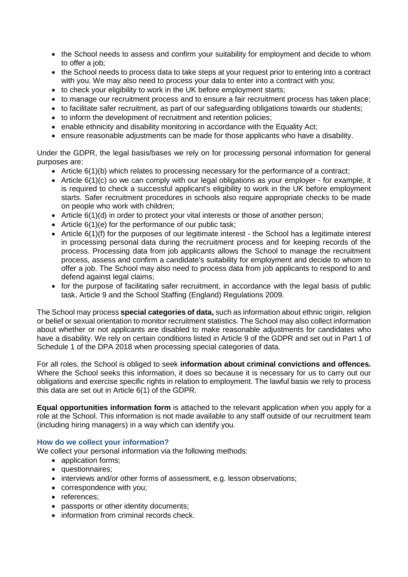- the School needs to assess and confirm your suitability for employment and decide to whom to offer a job;
- the School needs to process data to take steps at your request prior to entering into a contract with you. We may also need to process your data to enter into a contract with you;
- to check your eligibility to work in the UK before employment starts;
- to manage our recruitment process and to ensure a fair recruitment process has taken place;
- to facilitate safer recruitment, as part of our safeguarding obligations towards our students;
- to inform the development of recruitment and retention policies:
- enable ethnicity and disability monitoring in accordance with the Equality Act;
- ensure reasonable adjustments can be made for those applicants who have a disability.

Under the GDPR, the legal basis/bases we rely on for processing personal information for general purposes are:

- $\bullet$  Article 6(1)(b) which relates to processing necessary for the performance of a contract;
- Article 6(1)(c) so we can comply with our legal obligations as your employer for example, it is required to check a successful applicant's eligibility to work in the UK before employment starts. Safer recruitment procedures in schools also require appropriate checks to be made on people who work with children;
- Article 6(1)(d) in order to protect your vital interests or those of another person;
- Article 6(1)(e) for the performance of our public task;
- Article 6(1)(f) for the purposes of our legitimate interest the School has a legitimate interest in processing personal data during the recruitment process and for keeping records of the process. Processing data from job applicants allows the School to manage the recruitment process, assess and confirm a candidate's suitability for employment and decide to whom to offer a job. The School may also need to process data from job applicants to respond to and defend against legal claims;
- for the purpose of facilitating safer recruitment, in accordance with the legal basis of public task, Article 9 and the School Staffing (England) Regulations 2009.

The School may process **special categories of data,** such as information about ethnic origin, religion or belief or sexual orientation to monitor recruitment statistics. The School may also collect information about whether or not applicants are disabled to make reasonable adjustments for candidates who have a disability. We rely on certain conditions listed in Article 9 of the GDPR and set out in Part 1 of Schedule 1 of the DPA 2018 when processing special categories of data.

For all roles, the School is obliged to seek **information about criminal convictions and offences.** Where the School seeks this information, it does so because it is necessary for us to carry out our obligations and exercise specific rights in relation to employment. The lawful basis we rely to process this data are set out in Article 6(1) of the GDPR.

**Equal opportunities information form** is attached to the relevant application when you apply for a role at the School. This information is not made available to any staff outside of our recruitment team (including hiring managers) in a way which can identify you.

# **How do we collect your information?**

We collect your personal information via the following methods:

- application forms;
- questionnaires:
- interviews and/or other forms of assessment, e.g. lesson observations;
- correspondence with you:
- references;
- passports or other identity documents;
- information from criminal records check.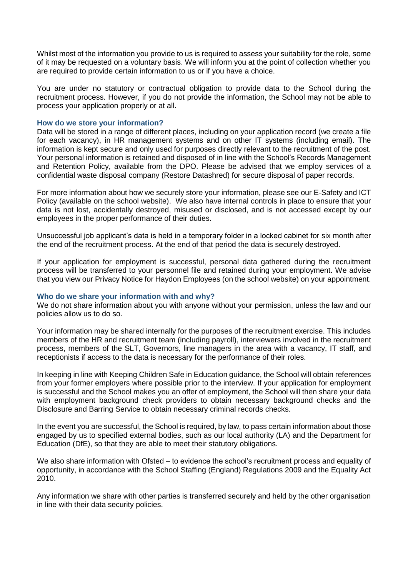Whilst most of the information you provide to us is required to assess your suitability for the role, some of it may be requested on a voluntary basis. We will inform you at the point of collection whether you are required to provide certain information to us or if you have a choice.

You are under no statutory or contractual obligation to provide data to the School during the recruitment process. However, if you do not provide the information, the School may not be able to process your application properly or at all.

#### **How do we store your information?**

Data will be stored in a range of different places, including on your application record (we create a file for each vacancy), in HR management systems and on other IT systems (including email). The information is kept secure and only used for purposes directly relevant to the recruitment of the post. Your personal information is retained and disposed of in line with the School's Records Management and Retention Policy, available from the DPO. Please be advised that we employ services of a confidential waste disposal company (Restore Datashred) for secure disposal of paper records.

For more information about how we securely store your information, please see our E-Safety and ICT Policy (available on the school website). We also have internal controls in place to ensure that your data is not lost, accidentally destroyed, misused or disclosed, and is not accessed except by our employees in the proper performance of their duties.

Unsuccessful job applicant's data is held in a temporary folder in a locked cabinet for six month after the end of the recruitment process. At the end of that period the data is securely destroyed.

If your application for employment is successful, personal data gathered during the recruitment process will be transferred to your personnel file and retained during your employment. We advise that you view our Privacy Notice for Haydon Employees (on the school website) on your appointment.

#### **Who do we share your information with and why?**

We do not share information about you with anyone without your permission, unless the law and our policies allow us to do so.

Your information may be shared internally for the purposes of the recruitment exercise. This includes members of the HR and recruitment team (including payroll), interviewers involved in the recruitment process, members of the SLT, Governors, line managers in the area with a vacancy, IT staff, and receptionists if access to the data is necessary for the performance of their roles.

In keeping in line with Keeping Children Safe in Education guidance, the School will obtain references from your former employers where possible prior to the interview. If your application for employment is successful and the School makes you an offer of employment, the School will then share your data with employment background check providers to obtain necessary background checks and the Disclosure and Barring Service to obtain necessary criminal records checks.

In the event you are successful, the School is required, by law, to pass certain information about those engaged by us to specified external bodies, such as our local authority (LA) and the Department for Education (DfE), so that they are able to meet their statutory obligations.

We also share information with Ofsted – to evidence the school's recruitment process and equality of opportunity, in accordance with the School Staffing (England) Regulations 2009 and the Equality Act 2010.

Any information we share with other parties is transferred securely and held by the other organisation in line with their data security policies.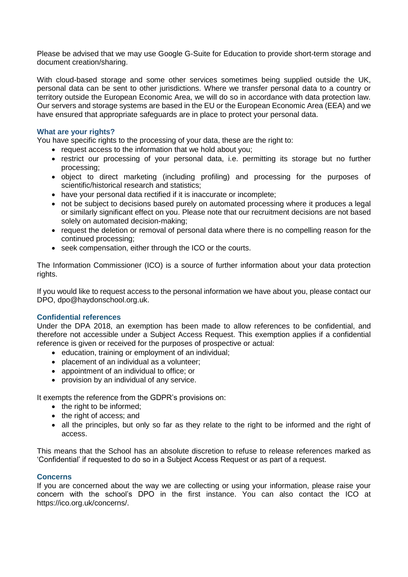Please be advised that we may use Google G-Suite for Education to provide short-term storage and document creation/sharing.

With cloud-based storage and some other services sometimes being supplied outside the UK, personal data can be sent to other jurisdictions. Where we transfer personal data to a country or territory outside the European Economic Area, we will do so in accordance with data protection law. Our servers and storage systems are based in the EU or the European Economic Area (EEA) and we have ensured that appropriate safeguards are in place to protect your personal data.

### **What are your rights?**

You have specific rights to the processing of your data, these are the right to:

- request access to the information that we hold about you:
- restrict our processing of your personal data, i.e. permitting its storage but no further processing;
- object to direct marketing (including profiling) and processing for the purposes of scientific/historical research and statistics;
- have your personal data rectified if it is inaccurate or incomplete;
- not be subject to decisions based purely on automated processing where it produces a legal or similarly significant effect on you. Please note that our recruitment decisions are not based solely on automated decision-making;
- request the deletion or removal of personal data where there is no compelling reason for the continued processing;
- seek compensation, either through the ICO or the courts.

The Information Commissioner (ICO) is a source of further information about your data protection rights.

If you would like to request access to the personal information we have about you, please contact our DPO, dpo@haydonschool.org.uk.

#### **Confidential references**

Under the DPA 2018, an exemption has been made to allow references to be confidential, and therefore not accessible under a Subject Access Request. This exemption applies if a confidential reference is given or received for the purposes of prospective or actual:

- education, training or employment of an individual;
- placement of an individual as a volunteer;
- appointment of an individual to office; or
- provision by an individual of any service.

It exempts the reference from the GDPR's provisions on:

- the right to be informed;
- the right of access; and
- all the principles, but only so far as they relate to the right to be informed and the right of access.

This means that the School has an absolute discretion to refuse to release references marked as 'Confidential' if requested to do so in a Subject Access Request or as part of a request.

#### **Concerns**

If you are concerned about the way we are collecting or using your information, please raise your concern with the school's DPO in the first instance. You can also contact the ICO at https://ico.org.uk/concerns/.